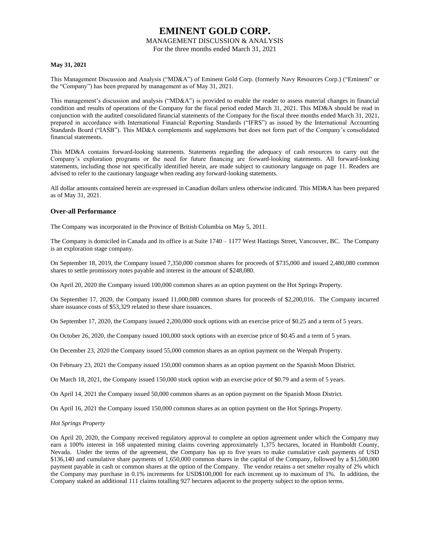# MANAGEMENT DISCUSSION & ANALYSIS

For the three months ended March 31, 2021

## **May 31, 2021**

This Management Discussion and Analysis ("MD&A") of Eminent Gold Corp. (formerly Navy Resources Corp.) ("Eminent" or the "Company") has been prepared by management as of May 31, 2021.

This management's discussion and analysis ("MD&A") is provided to enable the reader to assess material changes in financial condition and results of operations of the Company for the fiscal period ended March 31, 2021. This MD&A should be read in conjunction with the audited consolidated financial statements of the Company for the fiscal three months ended March 31, 2021, prepared in accordance with International Financial Reporting Standards ("IFRS") as issued by the International Accounting Standards Board ("IASB"). This MD&A complements and supplements but does not form part of the Company's consolidated financial statements.

This MD&A contains forward-looking statements. Statements regarding the adequacy of cash resources to carry out the Company's exploration programs or the need for future financing are forward-looking statements. All forward-looking statements, including those not specifically identified herein, are made subject to cautionary language on page 11. Readers are advised to refer to the cautionary language when reading any forward-looking statements.

All dollar amounts contained herein are expressed in Canadian dollars unless otherwise indicated. This MD&A has been prepared as of May 31, 2021.

### **Over-all Performance**

The Company was incorporated in the Province of British Columbia on May 5, 2011.

The Company is domiciled in Canada and its office is at Suite 1740 – 1177 West Hastings Street, Vancouver, BC. The Company is an exploration stage company.

On September 18, 2019, the Company issued 7,350,000 common shares for proceeds of \$735,000 and issued 2,480,080 common shares to settle promissory notes payable and interest in the amount of \$248,080.

On April 20, 2020 the Company issued 100,000 common shares as an option payment on the Hot Springs Property.

On September 17, 2020, the Company issued 11,000,080 common shares for proceeds of \$2,200,016. The Company incurred share issuance costs of \$53,329 related to these share issuances.

On September 17, 2020, the Company issued 2,200,000 stock options with an exercise price of \$0.25 and a term of 5 years.

On October 26, 2020, the Company issued 100,000 stock options with an exercise price of \$0.45 and a term of 5 years.

On December 23, 2020 the Company issued 55,000 common shares as an option payment on the Weepah Property.

On February 23, 2021 the Company issued 150,000 common shares as an option payment on the Spanish Moon District.

On March 18, 2021, the Company issued 150,000 stock option with an exercise price of \$0.79 and a term of 5 years.

On April 14, 2021 the Company issued 50,000 common shares as an option payment on the Spanish Moon District.

On April 16, 2021 the Company issued 150,000 common shares as an option payment on the Hot Springs Property.

### *Hot Springs Property*

On April 20, 2020, the Company received regulatory approval to complete an option agreement under which the Company may earn a 100% interest in 168 unpatented mining claims covering approximately 1,375 hectares, located in Humboldt County, Nevada. Under the terms of the agreement, the Company has up to five years to make cumulative cash payments of USD \$136,140 and cumulative share payments of 1,650,000 common shares in the capital of the Company, followed by a \$1,500,000 payment payable in cash or common shares at the option of the Company. The vendor retains a net smelter royalty of 2% which the Company may purchase in 0.1% increments for USD\$100,000 for each increment up to maximum of 1%. In addition, the Company staked an additional 111 claims totalling 927 hectares adjacent to the property subject to the option terms.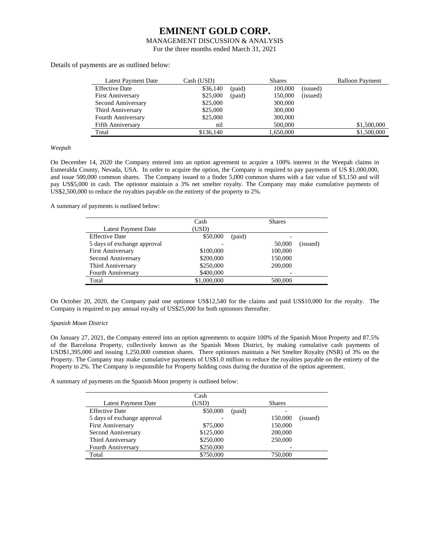# MANAGEMENT DISCUSSION & ANALYSIS

For the three months ended March 31, 2021

### Details of payments are as outlined below:

| Latest Payment Date      | Cash (USD) |        | <b>Shares</b> |          | <b>Balloon Payment</b> |
|--------------------------|------------|--------|---------------|----------|------------------------|
| <b>Effective Date</b>    | \$36,140   | (paid) | 100,000       | (issued) |                        |
| <b>First Anniversary</b> | \$25,000   | (paid) | 150,000       | (issued) |                        |
| Second Anniversary       | \$25,000   |        | 300,000       |          |                        |
| Third Anniversary        | \$25,000   |        | 300,000       |          |                        |
| Fourth Anniversary       | \$25,000   |        | 300,000       |          |                        |
| <b>Fifth Anniversary</b> | nil        |        | 500,000       |          | \$1,500,000            |
| Total                    | \$136,140  |        | 1,650,000     |          | \$1,500,000            |

*Weepah*

On December 14, 2020 the Company entered into an option agreement to acquire a 100% interest in the Weepah claims in Esmeralda County, Nevada, USA. In order to acquire the option, the Company is required to pay payments of US \$1,000,000, and issue 500,000 common shares. The Company issued to a finder 5,000 common shares with a fair value of \$3,150 and will pay US\$5,000 in cash. The optionor maintain a 3% net smelter royalty. The Company may make cumulative payments of US\$2,500,000 to reduce the royalties payable on the entirety of the property to 2%.

A summary of payments is outlined below:

| <b>Shares</b>          |
|------------------------|
| (USD)                  |
| \$50,000<br>(paid)     |
| 50,000<br>(issued)     |
| 100,000<br>\$100,000   |
| \$200,000<br>150,000   |
| \$250,000<br>200,000   |
| \$400,000              |
| \$1,000,000<br>500,000 |
|                        |

On October 20, 2020, the Company paid one optionor US\$12,540 for the claims and paid US\$10,000 for the royalty. The Company is required to pay annual royalty of US\$25,000 for both optionors thereafter.

## *Spanish Moon District*

On January 27, 2021, the Company entered into an option agreements to acquire 100% of the Spanish Moon Property and 87.5% of the Barcelona Property, collectively known as the Spanish Moon District, by making cumulative cash payments of USD\$1,395,000 and issuing 1,250,000 common shares. There optionors maintain a Net Smelter Royalty (NSR) of 3% on the Property. The Company may make cumulative payments of US\$1.0 million to reduce the royalties payable on the entirety of the Property to 2%. The Company is responsible for Property holding costs during the duration of the option agreement.

A summary of payments on the Spanish Moon property is outlined below:

|                             | Cash      |                     |
|-----------------------------|-----------|---------------------|
| <b>Latest Payment Date</b>  | (USD)     | <b>Shares</b>       |
| <b>Effective Date</b>       | \$50,000  | (paid)              |
| 5 days of exchange approval |           | 150,000<br>(issued) |
| <b>First Anniversary</b>    | \$75,000  | 150,000             |
| Second Anniversary          | \$125,000 | 200,000             |
| Third Anniversary           | \$250,000 | 250,000             |
| Fourth Anniversary          | \$250,000 |                     |
| Total                       | \$750,000 | 750,000             |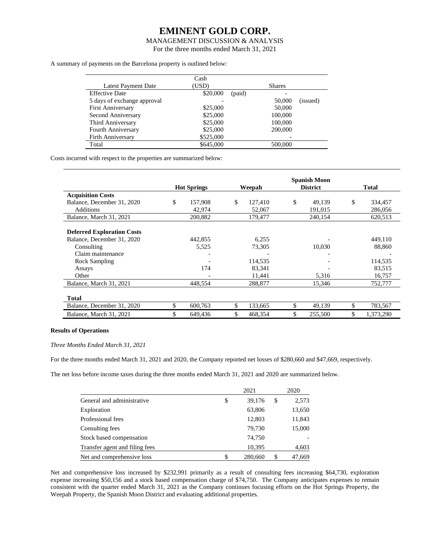MANAGEMENT DISCUSSION & ANALYSIS

For the three months ended March 31, 2021

| A summary of payments on the Barcelona property is outlined below: |  |  |  |  |
|--------------------------------------------------------------------|--|--|--|--|
|--------------------------------------------------------------------|--|--|--|--|

|                             | Cash      |        |               |          |
|-----------------------------|-----------|--------|---------------|----------|
| <b>Latest Payment Date</b>  | (USD)     |        | <b>Shares</b> |          |
| <b>Effective Date</b>       | \$20,000  | (paid) |               |          |
| 5 days of exchange approval |           |        | 50,000        | (issued) |
| <b>First Anniversary</b>    | \$25,000  |        | 50,000        |          |
| Second Anniversary          | \$25,000  |        | 100,000       |          |
| Third Anniversary           | \$25,000  |        | 100,000       |          |
| Fourth Anniversary          | \$25,000  |        | 200,000       |          |
| Firth Anniversary           | \$525,000 |        |               |          |
| Total                       | \$645,000 |        | 500,000       |          |

Costs incurred with respect to the properties are summarized below:

|                                   | <b>Hot Springs</b> |    | Weepah  | <b>Spanish Moon</b><br><b>District</b> |    | <b>Total</b> |
|-----------------------------------|--------------------|----|---------|----------------------------------------|----|--------------|
| <b>Acquisition Costs</b>          |                    |    |         |                                        |    |              |
| Balance, December 31, 2020        | \$<br>157,908      | \$ | 127.410 | \$<br>49.139                           | \$ | 334,457      |
| <b>Additions</b>                  | 42,974             |    | 52,067  | 191.015                                |    | 286,056      |
| Balance, March 31, 2021           | 200,882            |    | 179,477 | 240.154                                |    | 620,513      |
| <b>Deferred Exploration Costs</b> |                    |    |         |                                        |    |              |
| Balance, December 31, 2020        | 442,855            |    | 6,255   |                                        |    | 449,110      |
| Consulting                        | 5.525              |    | 73,305  | 10.030                                 |    | 88,860       |
| Claim maintenance                 |                    |    |         |                                        |    |              |
| <b>Rock Sampling</b>              |                    |    | 114,535 |                                        |    | 114,535      |
| Assays                            | 174                |    | 83.341  |                                        |    | 83.515       |
| Other                             |                    |    | 11,441  | 5,316                                  |    | 16,757       |
| Balance, March 31, 2021           | 448,554            |    | 288,877 | 15,346                                 |    | 752,777      |
| Total                             |                    |    |         |                                        |    |              |
| Balance, December 31, 2020        | 600,763            | S  | 133,665 | \$<br>49,139                           | S  | 783,567      |
| Balance, March 31, 2021           | \$<br>649,436      | \$ | 468,354 | \$<br>255,500                          | \$ | 1,373,290    |

### **Results of Operations**

*Three Months Ended March 31, 2021*

For the three months ended March 31, 2021 and 2020, the Company reported net losses of \$280,660 and \$47,669, respectively.

The net loss before income taxes during the three months ended March 31, 2021 and 2020 are summarized below.

|                                | 2021          |    | 2020   |
|--------------------------------|---------------|----|--------|
| General and administrative     | \$<br>39,176  | \$ | 2,573  |
| Exploration                    | 63,806        |    | 13,650 |
| Professional fees              | 12,803        |    | 11,843 |
| Consulting fees                | 79,730        |    | 15,000 |
| Stock based compensation       | 74,750        |    |        |
| Transfer agent and filing fees | 10,395        |    | 4,603  |
| Net and comprehensive loss     | \$<br>280,660 | S  | 47,669 |

Net and comprehensive loss increased by \$232,991 primarily as a result of consulting fees increasing \$64,730, exploration expense increasing \$50,156 and a stock based compensation charge of \$74,750. The Company anticipates expenses to remain consistent with the quarter ended March 31, 2021 as the Company continues focusing efforts on the Hot Springs Property, the Weepah Property, the Spanish Moon District and evaluating additional properties.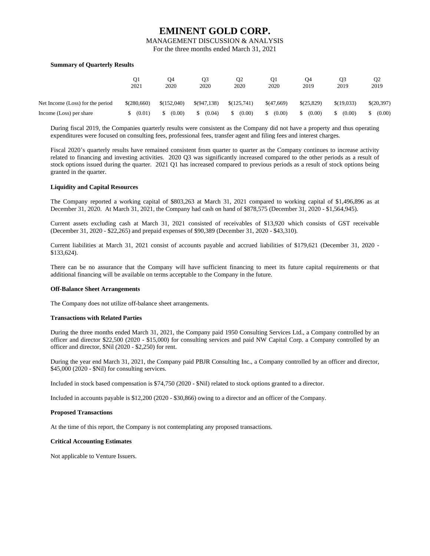# MANAGEMENT DISCUSSION & ANALYSIS

For the three months ended March 31, 2021

# **Summary of Quarterly Results**

|                                  | O1<br>2021  | O4<br>2020  | O3<br>2020   | O <sub>2</sub><br>2020 | O1<br>2020  | O4<br>2019 | O3<br>2019 | O2<br>2019 |
|----------------------------------|-------------|-------------|--------------|------------------------|-------------|------------|------------|------------|
| Net Income (Loss) for the period | \$(280,660) | \$(152,040) | \$(947, 138) | \$(125,741)            | \$(47,669)  | \$(25,829) | \$(19.033) | \$(20,397) |
| Income (Loss) per share          | (0.01)      | (0.00)      | (0.04)       | (0.00)<br>S.           | (0.00)<br>S | (0.00)     | (0.00)     | (0.00)     |

During fiscal 2019, the Companies quarterly results were consistent as the Company did not have a property and thus operating expenditures were focused on consulting fees, professional fees, transfer agent and filing fees and interest charges.

Fiscal 2020's quarterly results have remained consistent from quarter to quarter as the Company continues to increase activity related to financing and investing activities. 2020 Q3 was significantly increased compared to the other periods as a result of stock options issued during the quarter. 2021 Q1 has increased compared to previous periods as a result of stock options being granted in the quarter.

### **Liquidity and Capital Resources**

The Company reported a working capital of \$803,263 at March 31, 2021 compared to working capital of \$1,496,896 as at December 31, 2020. At March 31, 2021, the Company had cash on hand of \$878,575 (December 31, 2020 - \$1,564,945).

Current assets excluding cash at March 31, 2021 consisted of receivables of \$13,920 which consists of GST receivable (December 31, 2020 - \$22,265) and prepaid expenses of \$90,389 (December 31, 2020 - \$43,310).

Current liabilities at March 31, 2021 consist of accounts payable and accrued liabilities of \$179,621 (December 31, 2020 - \$133,624).

There can be no assurance that the Company will have sufficient financing to meet its future capital requirements or that additional financing will be available on terms acceptable to the Company in the future.

### **Off-Balance Sheet Arrangements**

The Company does not utilize off-balance sheet arrangements.

### **Transactions with Related Parties**

During the three months ended March 31, 2021, the Company paid 1950 Consulting Services Ltd., a Company controlled by an officer and director \$22,500 (2020 - \$15,000) for consulting services and paid NW Capital Corp. a Company controlled by an officer and director, \$Nil (2020 - \$2,250) for rent.

During the year end March 31, 2021, the Company paid PBJR Consulting Inc., a Company controlled by an officer and director, \$45,000 (2020 - \$Nil) for consulting services.

Included in stock based compensation is \$74,750 (2020 - \$Nil) related to stock options granted to a director.

Included in accounts payable is \$12,200 (2020 - \$30,866) owing to a director and an officer of the Company.

### **Proposed Transactions**

At the time of this report, the Company is not contemplating any proposed transactions.

### **Critical Accounting Estimates**

Not applicable to Venture Issuers.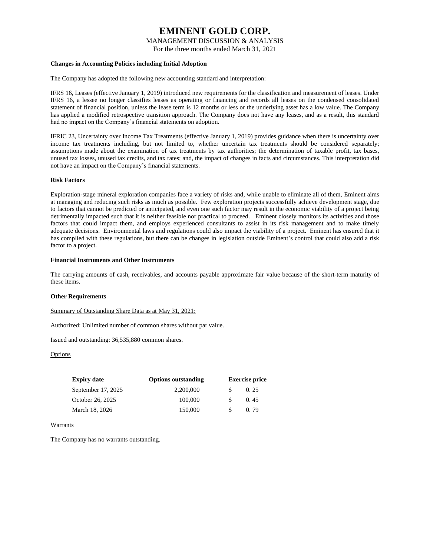## MANAGEMENT DISCUSSION & ANALYSIS

For the three months ended March 31, 2021

#### **Changes in Accounting Policies including Initial Adoption**

The Company has adopted the following new accounting standard and interpretation:

IFRS 16, Leases (effective January 1, 2019) introduced new requirements for the classification and measurement of leases. Under IFRS 16, a lessee no longer classifies leases as operating or financing and records all leases on the condensed consolidated statement of financial position, unless the lease term is 12 months or less or the underlying asset has a low value. The Company has applied a modified retrospective transition approach. The Company does not have any leases, and as a result, this standard had no impact on the Company's financial statements on adoption.

IFRIC 23, Uncertainty over Income Tax Treatments (effective January 1, 2019) provides guidance when there is uncertainty over income tax treatments including, but not limited to, whether uncertain tax treatments should be considered separately; assumptions made about the examination of tax treatments by tax authorities; the determination of taxable profit, tax bases, unused tax losses, unused tax credits, and tax rates; and, the impact of changes in facts and circumstances. This interpretation did not have an impact on the Company's financial statements.

### **Risk Factors**

Exploration-stage mineral exploration companies face a variety of risks and, while unable to eliminate all of them, Eminent aims at managing and reducing such risks as much as possible. Few exploration projects successfully achieve development stage, due to factors that cannot be predicted or anticipated, and even one such factor may result in the economic viability of a project being detrimentally impacted such that it is neither feasible nor practical to proceed. Eminent closely monitors its activities and those factors that could impact them, and employs experienced consultants to assist in its risk management and to make timely adequate decisions. Environmental laws and regulations could also impact the viability of a project. Eminent has ensured that it has complied with these regulations, but there can be changes in legislation outside Eminent's control that could also add a risk factor to a project.

#### **Financial Instruments and Other Instruments**

The carrying amounts of cash, receivables, and accounts payable approximate fair value because of the short-term maturity of these items.

#### **Other Requirements**

Summary of Outstanding Share Data as at May 31, 2021:

Authorized: Unlimited number of common shares without par value.

Issued and outstanding: 36,535,880 common shares.

### **Options**

| <b>Expiry date</b> | <b>Options outstanding</b> |   | <b>Exercise price</b> |
|--------------------|----------------------------|---|-----------------------|
| September 17, 2025 | 2.200,000                  | S | 0.25                  |
| October 26, 2025   | 100,000                    | S | 0.45                  |
| March 18, 2026     | 150,000                    | S | 0.79                  |

### Warrants

The Company has no warrants outstanding.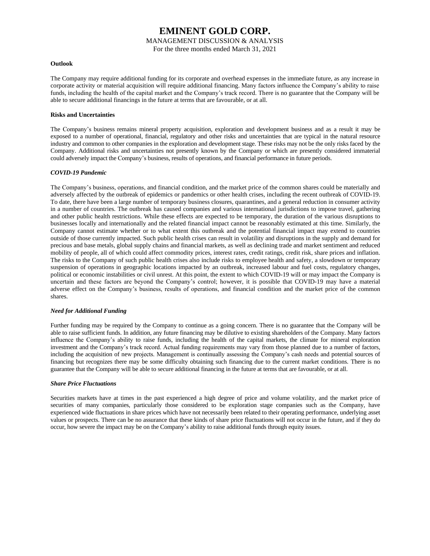# MANAGEMENT DISCUSSION & ANALYSIS

For the three months ended March 31, 2021

#### **Outlook**

The Company may require additional funding for its corporate and overhead expenses in the immediate future, as any increase in corporate activity or material acquisition will require additional financing. Many factors influence the Company's ability to raise funds, including the health of the capital market and the Company's track record. There is no guarantee that the Company will be able to secure additional financings in the future at terms that are favourable, or at all.

#### **Risks and Uncertainties**

The Company's business remains mineral property acquisition, exploration and development business and as a result it may be exposed to a number of operational, financial, regulatory and other risks and uncertainties that are typical in the natural resource industry and common to other companies in the exploration and development stage. These risks may not be the only risks faced by the Company. Additional risks and uncertainties not presently known by the Company or which are presently considered immaterial could adversely impact the Company's business, results of operations, and financial performance in future periods.

#### *COVID-19 Pandemic*

The Company's business, operations, and financial condition, and the market price of the common shares could be materially and adversely affected by the outbreak of epidemics or pandemics or other health crises, including the recent outbreak of COVID-19. To date, there have been a large number of temporary business closures, quarantines, and a general reduction in consumer activity in a number of countries. The outbreak has caused companies and various international jurisdictions to impose travel, gathering and other public health restrictions. While these effects are expected to be temporary, the duration of the various disruptions to businesses locally and internationally and the related financial impact cannot be reasonably estimated at this time. Similarly, the Company cannot estimate whether or to what extent this outbreak and the potential financial impact may extend to countries outside of those currently impacted. Such public health crises can result in volatility and disruptions in the supply and demand for precious and base metals, global supply chains and financial markets, as well as declining trade and market sentiment and reduced mobility of people, all of which could affect commodity prices, interest rates, credit ratings, credit risk, share prices and inflation. The risks to the Company of such public health crises also include risks to employee health and safety, a slowdown or temporary suspension of operations in geographic locations impacted by an outbreak, increased labour and fuel costs, regulatory changes, political or economic instabilities or civil unrest. At this point, the extent to which COVID-19 will or may impact the Company is uncertain and these factors are beyond the Company's control; however, it is possible that COVID-19 may have a material adverse effect on the Company's business, results of operations, and financial condition and the market price of the common shares.

### *Need for Additional Funding*

Further funding may be required by the Company to continue as a going concern. There is no guarantee that the Company will be able to raise sufficient funds. In addition, any future financing may be dilutive to existing shareholders of the Company. Many factors influence the Company's ability to raise funds, including the health of the capital markets, the climate for mineral exploration investment and the Company's track record. Actual funding requirements may vary from those planned due to a number of factors, including the acquisition of new projects. Management is continually assessing the Company's cash needs and potential sources of financing but recognizes there may be some difficulty obtaining such financing due to the current market conditions. There is no guarantee that the Company will be able to secure additional financing in the future at terms that are favourable, or at all.

#### *Share Price Fluctuations*

Securities markets have at times in the past experienced a high degree of price and volume volatility, and the market price of securities of many companies, particularly those considered to be exploration stage companies such as the Company, have experienced wide fluctuations in share prices which have not necessarily been related to their operating performance, underlying asset values or prospects. There can be no assurance that these kinds of share price fluctuations will not occur in the future, and if they do occur, how severe the impact may be on the Company's ability to raise additional funds through equity issues.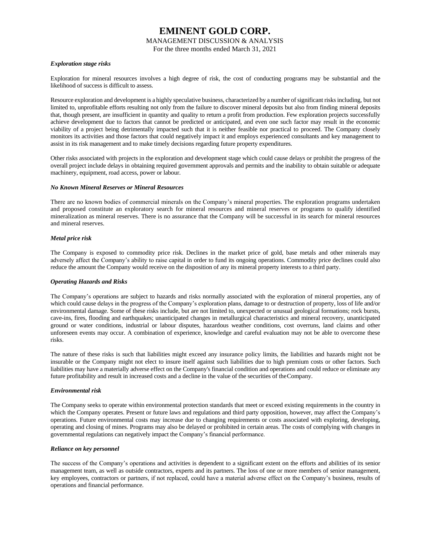# MANAGEMENT DISCUSSION & ANALYSIS

For the three months ended March 31, 2021

## *Exploration stage risks*

Exploration for mineral resources involves a high degree of risk, the cost of conducting programs may be substantial and the likelihood of success is difficult to assess.

Resource exploration and development is a highly speculative business, characterized by a number of significant risks including, but not limited to, unprofitable efforts resulting not only from the failure to discover mineral deposits but also from finding mineral deposits that, though present, are insufficient in quantity and quality to return a profit from production. Few exploration projects successfully achieve development due to factors that cannot be predicted or anticipated, and even one such factor may result in the economic viability of a project being detrimentally impacted such that it is neither feasible nor practical to proceed. The Company closely monitors its activities and those factors that could negatively impact it and employs experienced consultants and key management to assist in its risk management and to make timely decisions regarding future property expenditures.

Other risks associated with projects in the exploration and development stage which could cause delays or prohibit the progress of the overall project include delays in obtaining required government approvals and permits and the inability to obtain suitable or adequate machinery, equipment, road access, power or labour.

### *No Known Mineral Reserves or Mineral Resources*

There are no known bodies of commercial minerals on the Company's mineral properties. The exploration programs undertaken and proposed constitute an exploratory search for mineral resources and mineral reserves or programs to qualify identified mineralization as mineral reserves. There is no assurance that the Company will be successful in its search for mineral resources and mineral reserves.

## *Metal price risk*

The Company is exposed to commodity price risk. Declines in the market price of gold, base metals and other minerals may adversely affect the Company's ability to raise capital in order to fund its ongoing operations. Commodity price declines could also reduce the amount the Company would receive on the disposition of any its mineral property interests to a third party.

## *Operating Hazards and Risks*

The Company's operations are subject to hazards and risks normally associated with the exploration of mineral properties, any of which could cause delays in the progress of the Company's exploration plans, damage to or destruction of property, loss of life and/or environmental damage. Some of these risks include, but are not limited to, unexpected or unusual geological formations; rock bursts, cave-ins, fires, flooding and earthquakes; unanticipated changes in metallurgical characteristics and mineral recovery, unanticipated ground or water conditions, industrial or labour disputes, hazardous weather conditions, cost overruns, land claims and other unforeseen events may occur. A combination of experience, knowledge and careful evaluation may not be able to overcome these risks.

The nature of these risks is such that liabilities might exceed any insurance policy limits, the liabilities and hazards might not be insurable or the Company might not elect to insure itself against such liabilities due to high premium costs or other factors. Such liabilities may have a materially adverse effect on the Company's financial condition and operations and could reduce or eliminate any future profitability and result in increased costs and a decline in the value of the securities of theCompany.

### *Environmental risk*

The Company seeks to operate within environmental protection standards that meet or exceed existing requirements in the country in which the Company operates. Present or future laws and regulations and third party opposition, however, may affect the Company's operations. Future environmental costs may increase due to changing requirements or costs associated with exploring, developing, operating and closing of mines. Programs may also be delayed or prohibited in certain areas. The costs of complying with changes in governmental regulations can negatively impact the Company's financial performance.

### *Reliance on key personnel*

The success of the Company's operations and activities is dependent to a significant extent on the efforts and abilities of its senior management team, as well as outside contractors, experts and its partners. The loss of one or more members of senior management, key employees, contractors or partners, if not replaced, could have a material adverse effect on the Company's business, results of operations and financial performance.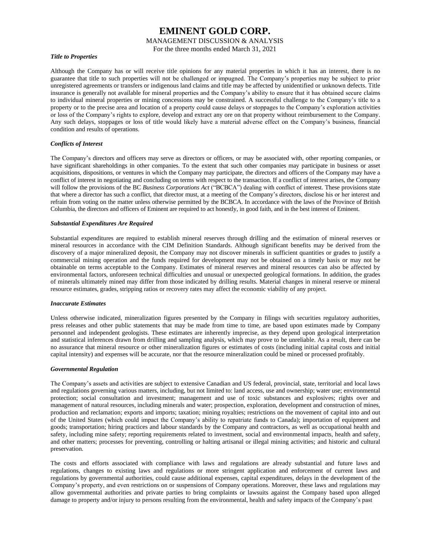# MANAGEMENT DISCUSSION & ANALYSIS

For the three months ended March 31, 2021

### *Title to Properties*

Although the Company has or will receive title opinions for any material properties in which it has an interest, there is no guarantee that title to such properties will not be challenged or impugned. The Company's properties may be subject to prior unregistered agreements or transfers or indigenous land claims and title may be affected by unidentified or unknown defects. Title insurance is generally not available for mineral properties and the Company's ability to ensure that it has obtained secure claims to individual mineral properties or mining concessions may be constrained. A successful challenge to the Company's title to a property or to the precise area and location of a property could cause delays or stoppages to the Company's exploration activities or loss of the Company's rights to explore, develop and extract any ore on that property without reimbursement to the Company. Any such delays, stoppages or loss of title would likely have a material adverse effect on the Company's business, financial condition and results of operations.

### *Conflicts of Interest*

The Company's directors and officers may serve as directors or officers, or may be associated with, other reporting companies, or have significant shareholdings in other companies. To the extent that such other companies may participate in business or asset acquisitions, dispositions, or ventures in which the Company may participate, the directors and officers of the Company may have a conflict of interest in negotiating and concluding on terms with respect to the transaction. If a conflict of interest arises, the Company will follow the provisions of the BC *Business Corporations Act* ("BCBCA") dealing with conflict of interest. These provisions state that where a director has such a conflict, that director must, at a meeting of the Company's directors, disclose his or her interest and refrain from voting on the matter unless otherwise permitted by the BCBCA. In accordance with the laws of the Province of British Columbia, the directors and officers of Eminent are required to act honestly, in good faith, and in the best interest of Eminent.

### *Substantial Expenditures Are Required*

Substantial expenditures are required to establish mineral reserves through drilling and the estimation of mineral reserves or mineral resources in accordance with the CIM Definition Standards. Although significant benefits may be derived from the discovery of a major mineralized deposit, the Company may not discover minerals in sufficient quantities or grades to justify a commercial mining operation and the funds required for development may not be obtained on a timely basis or may not be obtainable on terms acceptable to the Company. Estimates of mineral reserves and mineral resources can also be affected by environmental factors, unforeseen technical difficulties and unusual or unexpected geological formations. In addition, the grades of minerals ultimately mined may differ from those indicated by drilling results. Material changes in mineral reserve or mineral resource estimates, grades, stripping ratios or recovery rates may affect the economic viability of any project.

#### *Inaccurate Estimates*

Unless otherwise indicated, mineralization figures presented by the Company in filings with securities regulatory authorities, press releases and other public statements that may be made from time to time, are based upon estimates made by Company personnel and independent geologists. These estimates are inherently imprecise, as they depend upon geological interpretation and statistical inferences drawn from drilling and sampling analysis, which may prove to be unreliable. As a result, there can be no assurance that mineral resource or other mineralization figures or estimates of costs (including initial capital costs and initial capital intensity) and expenses will be accurate, nor that the resource mineralization could be mined or processed profitably.

### *Governmental Regulation*

The Company's assets and activities are subject to extensive Canadian and US federal, provincial, state, territorial and local laws and regulations governing various matters, including, but not limited to: land access, use and ownership; water use; environmental protection; social consultation and investment; management and use of toxic substances and explosives; rights over and management of natural resources, including minerals and water; prospection, exploration, development and construction of mines, production and reclamation; exports and imports; taxation; mining royalties; restrictions on the movement of capital into and out of the United States (which could impact the Company's ability to repatriate funds to Canada); importation of equipment and goods; transportation; hiring practices and labour standards by the Company and contractors, as well as occupational health and safety, including mine safety; reporting requirements related to investment, social and environmental impacts, health and safety, and other matters; processes for preventing, controlling or halting artisanal or illegal mining activities; and historic and cultural preservation.

The costs and efforts associated with compliance with laws and regulations are already substantial and future laws and regulations, changes to existing laws and regulations or more stringent application and enforcement of current laws and regulations by governmental authorities, could cause additional expenses, capital expenditures, delays in the development of the Company's property, and even restrictions on or suspensions of Company operations. Moreover, these laws and regulations may allow governmental authorities and private parties to bring complaints or lawsuits against the Company based upon alleged damage to property and/or injury to persons resulting from the environmental, health and safety impacts of the Company's past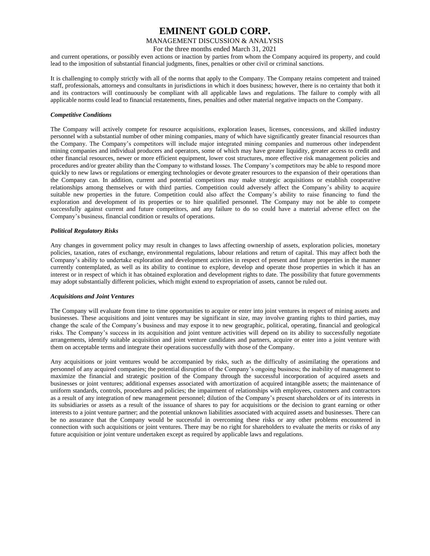# MANAGEMENT DISCUSSION & ANALYSIS

For the three months ended March 31, 2021

and current operations, or possibly even actions or inaction by parties from whom the Company acquired its property, and could lead to the imposition of substantial financial judgments, fines, penalties or other civil or criminal sanctions.

It is challenging to comply strictly with all of the norms that apply to the Company. The Company retains competent and trained staff, professionals, attorneys and consultants in jurisdictions in which it does business; however, there is no certainty that both it and its contractors will continuously be compliant with all applicable laws and regulations. The failure to comply with all applicable norms could lead to financial restatements, fines, penalties and other material negative impacts on the Company.

### *Competitive Conditions*

The Company will actively compete for resource acquisitions, exploration leases, licenses, concessions, and skilled industry personnel with a substantial number of other mining companies, many of which have significantly greater financial resources than the Company. The Company's competitors will include major integrated mining companies and numerous other independent mining companies and individual producers and operators, some of which may have greater liquidity, greater access to credit and other financial resources, newer or more efficient equipment, lower cost structures, more effective risk management policies and procedures and/or greater ability than the Company to withstand losses. The Company's competitors may be able to respond more quickly to new laws or regulations or emerging technologies or devote greater resources to the expansion of their operations than the Company can. In addition, current and potential competitors may make strategic acquisitions or establish cooperative relationships among themselves or with third parties. Competition could adversely affect the Company's ability to acquire suitable new properties in the future. Competition could also affect the Company's ability to raise financing to fund the exploration and development of its properties or to hire qualified personnel. The Company may not be able to compete successfully against current and future competitors, and any failure to do so could have a material adverse effect on the Company's business, financial condition or results of operations.

## *Political Regulatory Risks*

Any changes in government policy may result in changes to laws affecting ownership of assets, exploration policies, monetary policies, taxation, rates of exchange, environmental regulations, labour relations and return of capital. This may affect both the Company's ability to undertake exploration and development activities in respect of present and future properties in the manner currently contemplated, as well as its ability to continue to explore, develop and operate those properties in which it has an interest or in respect of which it has obtained exploration and development rights to date. The possibility that future governments may adopt substantially different policies, which might extend to expropriation of assets, cannot be ruled out.

### *Acquisitions and Joint Ventures*

The Company will evaluate from time to time opportunities to acquire or enter into joint ventures in respect of mining assets and businesses. These acquisitions and joint ventures may be significant in size, may involve granting rights to third parties, may change the scale of the Company's business and may expose it to new geographic, political, operating, financial and geological risks. The Company's success in its acquisition and joint venture activities will depend on its ability to successfully negotiate arrangements, identify suitable acquisition and joint venture candidates and partners, acquire or enter into a joint venture with them on acceptable terms and integrate their operations successfully with those of the Company.

Any acquisitions or joint ventures would be accompanied by risks, such as the difficulty of assimilating the operations and personnel of any acquired companies; the potential disruption of the Company's ongoing business; the inability of management to maximize the financial and strategic position of the Company through the successful incorporation of acquired assets and businesses or joint ventures; additional expenses associated with amortization of acquired intangible assets; the maintenance of uniform standards, controls, procedures and policies; the impairment of relationships with employees, customers and contractors as a result of any integration of new management personnel; dilution of the Company's present shareholders or of its interests in its subsidiaries or assets as a result of the issuance of shares to pay for acquisitions or the decision to grant earning or other interests to a joint venture partner; and the potential unknown liabilities associated with acquired assets and businesses. There can be no assurance that the Company would be successful in overcoming these risks or any other problems encountered in connection with such acquisitions or joint ventures. There may be no right for shareholders to evaluate the merits or risks of any future acquisition or joint venture undertaken except as required by applicable laws and regulations.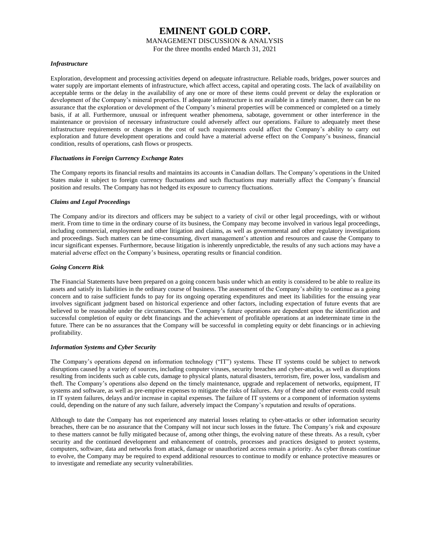MANAGEMENT DISCUSSION & ANALYSIS

For the three months ended March 31, 2021

# *Infrastructure*

Exploration, development and processing activities depend on adequate infrastructure. Reliable roads, bridges, power sources and water supply are important elements of infrastructure, which affect access, capital and operating costs. The lack of availability on acceptable terms or the delay in the availability of any one or more of these items could prevent or delay the exploration or development of the Company's mineral properties. If adequate infrastructure is not available in a timely manner, there can be no assurance that the exploration or development of the Company's mineral properties will be commenced or completed on a timely basis, if at all. Furthermore, unusual or infrequent weather phenomena, sabotage, government or other interference in the maintenance or provision of necessary infrastructure could adversely affect our operations. Failure to adequately meet these infrastructure requirements or changes in the cost of such requirements could affect the Company's ability to carry out exploration and future development operations and could have a material adverse effect on the Company's business, financial condition, results of operations, cash flows or prospects.

### *Fluctuations in Foreign Currency Exchange Rates*

The Company reports its financial results and maintains its accounts in Canadian dollars. The Company's operations in the United States make it subject to foreign currency fluctuations and such fluctuations may materially affect the Company's financial position and results. The Company has not hedged its exposure to currency fluctuations.

## *Claims and Legal Proceedings*

The Company and/or its directors and officers may be subject to a variety of civil or other legal proceedings, with or without merit. From time to time in the ordinary course of its business, the Company may become involved in various legal proceedings, including commercial, employment and other litigation and claims, as well as governmental and other regulatory investigations and proceedings. Such matters can be time-consuming, divert management's attention and resources and cause the Company to incur significant expenses. Furthermore, because litigation is inherently unpredictable, the results of any such actions may have a material adverse effect on the Company's business, operating results or financial condition.

## *Going Concern Risk*

The Financial Statements have been prepared on a going concern basis under which an entity is considered to be able to realize its assets and satisfy its liabilities in the ordinary course of business. The assessment of the Company's ability to continue as a going concern and to raise sufficient funds to pay for its ongoing operating expenditures and meet its liabilities for the ensuing year involves significant judgment based on historical experience and other factors, including expectation of future events that are believed to be reasonable under the circumstances. The Company's future operations are dependent upon the identification and successful completion of equity or debt financings and the achievement of profitable operations at an indeterminate time in the future. There can be no assurances that the Company will be successful in completing equity or debt financings or in achieving profitability.

### *Information Systems and Cyber Security*

The Company's operations depend on information technology ("IT") systems. These IT systems could be subject to network disruptions caused by a variety of sources, including computer viruses, security breaches and cyber-attacks, as well as disruptions resulting from incidents such as cable cuts, damage to physical plants, natural disasters, terrorism, fire, power loss, vandalism and theft. The Company's operations also depend on the timely maintenance, upgrade and replacement of networks, equipment, IT systems and software, as well as pre-emptive expenses to mitigate the risks of failures. Any of these and other events could result in IT system failures, delays and/or increase in capital expenses. The failure of IT systems or a component of information systems could, depending on the nature of any such failure, adversely impact the Company's reputation and results of operations.

Although to date the Company has not experienced any material losses relating to cyber-attacks or other information security breaches, there can be no assurance that the Company will not incur such losses in the future. The Company's risk and exposure to these matters cannot be fully mitigated because of, among other things, the evolving nature of these threats. As a result, cyber security and the continued development and enhancement of controls, processes and practices designed to protect systems, computers, software, data and networks from attack, damage or unauthorized access remain a priority. As cyber threats continue to evolve, the Company may be required to expend additional resources to continue to modify or enhance protective measures or to investigate and remediate any security vulnerabilities.